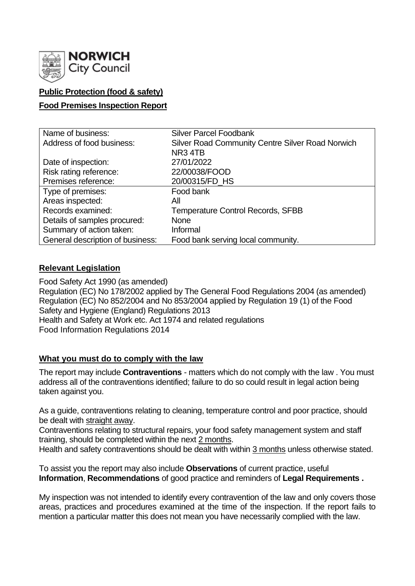

# **Public Protection (food & safety)**

#### **Food Premises Inspection Report**

| Name of business:                | <b>Silver Parcel Foodbank</b>                           |
|----------------------------------|---------------------------------------------------------|
| Address of food business:        | <b>Silver Road Community Centre Silver Road Norwich</b> |
|                                  | NR <sub>3</sub> 4TB                                     |
| Date of inspection:              | 27/01/2022                                              |
| Risk rating reference:           | 22/00038/FOOD                                           |
| Premises reference:              | 20/00315/FD HS                                          |
| Type of premises:                | Food bank                                               |
| Areas inspected:                 | All                                                     |
| Records examined:                | <b>Temperature Control Records, SFBB</b>                |
| Details of samples procured:     | <b>None</b>                                             |
| Summary of action taken:         | Informal                                                |
| General description of business: | Food bank serving local community.                      |

### **Relevant Legislation**

Food Safety Act 1990 (as amended) Regulation (EC) No 178/2002 applied by The General Food Regulations 2004 (as amended) Regulation (EC) No 852/2004 and No 853/2004 applied by Regulation 19 (1) of the Food Safety and Hygiene (England) Regulations 2013 Health and Safety at Work etc. Act 1974 and related regulations Food Information Regulations 2014

### **What you must do to comply with the law**

The report may include **Contraventions** - matters which do not comply with the law . You must address all of the contraventions identified; failure to do so could result in legal action being taken against you.

As a guide, contraventions relating to cleaning, temperature control and poor practice, should be dealt with straight away.

Contraventions relating to structural repairs, your food safety management system and staff training, should be completed within the next 2 months.

Health and safety contraventions should be dealt with within 3 months unless otherwise stated.

To assist you the report may also include **Observations** of current practice, useful **Information**, **Recommendations** of good practice and reminders of **Legal Requirements .**

My inspection was not intended to identify every contravention of the law and only covers those areas, practices and procedures examined at the time of the inspection. If the report fails to mention a particular matter this does not mean you have necessarily complied with the law.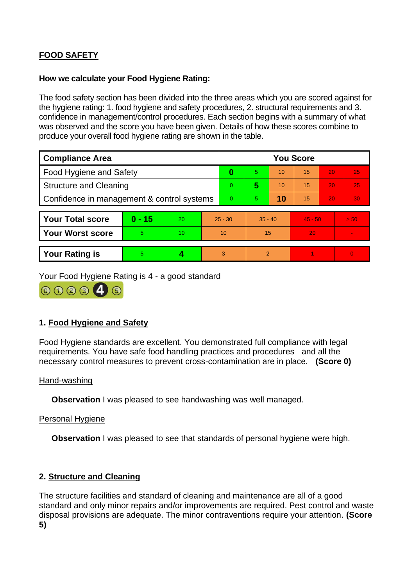# **FOOD SAFETY**

## **How we calculate your Food Hygiene Rating:**

The food safety section has been divided into the three areas which you are scored against for the hygiene rating: 1. food hygiene and safety procedures, 2. structural requirements and 3. confidence in management/control procedures. Each section begins with a summary of what was observed and the score you have been given. Details of how these scores combine to produce your overall food hygiene rating are shown in the table.

| <b>Compliance Area</b>                     |          |    |           | <b>You Score</b> |                |    |           |    |                |  |  |
|--------------------------------------------|----------|----|-----------|------------------|----------------|----|-----------|----|----------------|--|--|
| <b>Food Hygiene and Safety</b>             |          |    |           | 0                | 5.             | 10 | 15        | 20 | 25             |  |  |
| <b>Structure and Cleaning</b>              |          |    | $\Omega$  | 5                | 10             | 15 | 20        | 25 |                |  |  |
| Confidence in management & control systems |          |    | $\Omega$  | 5.               | 10             | 15 | 20        | 30 |                |  |  |
|                                            |          |    |           |                  |                |    |           |    |                |  |  |
| <b>Your Total score</b>                    | $0 - 15$ | 20 | $25 - 30$ |                  | $35 - 40$      |    | $45 - 50$ |    | > 50           |  |  |
| <b>Your Worst score</b>                    | 5        | 10 | 10        |                  | 15             |    | 20        |    | $\blacksquare$ |  |  |
|                                            |          |    |           |                  |                |    |           |    |                |  |  |
| <b>Your Rating is</b>                      | 5        |    |           | 3                | $\overline{2}$ |    |           |    | $\overline{0}$ |  |  |

Your Food Hygiene Rating is 4 - a good standard



# **1. Food Hygiene and Safety**

Food Hygiene standards are excellent. You demonstrated full compliance with legal requirements. You have safe food handling practices and procedures and all the necessary control measures to prevent cross-contamination are in place. **(Score 0)**

### Hand-washing

**Observation** I was pleased to see handwashing was well managed.

### Personal Hygiene

**Observation** I was pleased to see that standards of personal hygiene were high.

### **2. Structure and Cleaning**

The structure facilities and standard of cleaning and maintenance are all of a good standard and only minor repairs and/or improvements are required. Pest control and waste disposal provisions are adequate. The minor contraventions require your attention. **(Score 5)**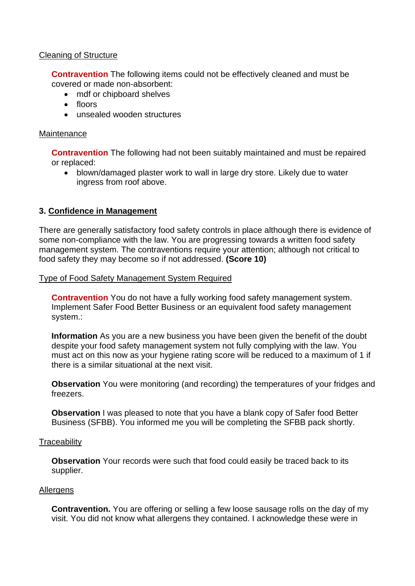### Cleaning of Structure

**Contravention** The following items could not be effectively cleaned and must be covered or made non-absorbent:

- mdf or chipboard shelves
- floors
- unsealed wooden structures

#### **Maintenance**

**Contravention** The following had not been suitably maintained and must be repaired or replaced:

• blown/damaged plaster work to wall in large dry store. Likely due to water ingress from roof above.

#### **3. Confidence in Management**

There are generally satisfactory food safety controls in place although there is evidence of some non-compliance with the law. You are progressing towards a written food safety management system. The contraventions require your attention; although not critical to food safety they may become so if not addressed. **(Score 10)**

#### Type of Food Safety Management System Required

**Contravention** You do not have a fully working food safety management system. Implement Safer Food Better Business or an equivalent food safety management system.:

**Information** As you are a new business you have been given the benefit of the doubt despite your food safety management system not fully complying with the law. You must act on this now as your hygiene rating score will be reduced to a maximum of 1 if there is a similar situational at the next visit.

**Observation** You were monitoring (and recording) the temperatures of your fridges and freezers.

**Observation** I was pleased to note that you have a blank copy of Safer food Better Business (SFBB). You informed me you will be completing the SFBB pack shortly.

#### **Traceability**

**Observation** Your records were such that food could easily be traced back to its supplier.

#### Allergens

**Contravention.** You are offering or selling a few loose sausage rolls on the day of my visit. You did not know what allergens they contained. I acknowledge these were in